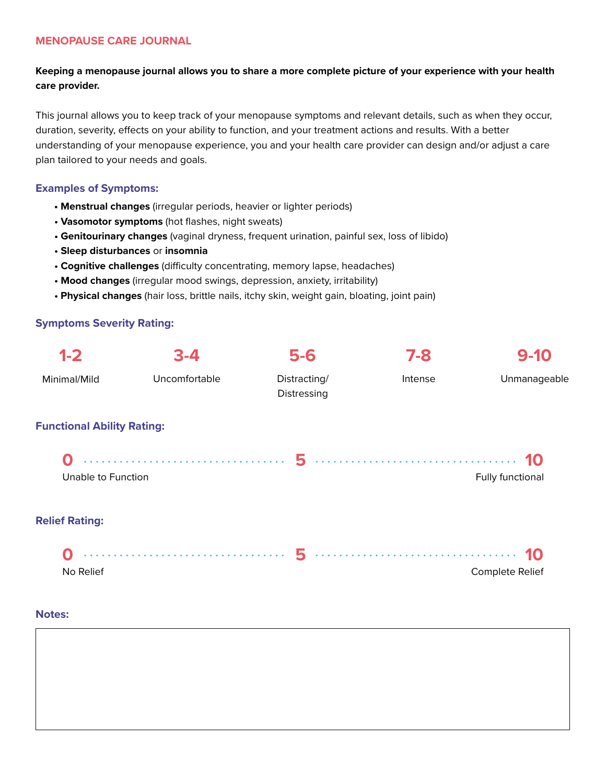#### **MENOPAUSE CARE JOURNAL**

# **Keeping a menopause journal allows you to share a more complete picture of your experience with your health care provider.**

This journal allows you to keep track of your menopause symptoms and relevant details, such as when they occur, duration, severity, effects on your ability to function, and your treatment actions and results. With a better understanding of your menopause experience, you and your health care provider can design and/or adjust a care plan tailored to your needs and goals.

### **Examples of Symptoms:**

- **Menstrual changes** (irregular periods, heavier or lighter periods)
- **Vasomotor symptoms** (hot flashes, night sweats)
- **Genitourinary changes** (vaginal dryness, frequent urination, painful sex, loss of libido)
- **Sleep disturbances** or **insomnia**
- **Cognitive challenges** (difficulty concentrating, memory lapse, headaches)
- **Mood changes** (irregular mood swings, depression, anxiety, irritability)
- **Physical changes** (hair loss, brittle nails, itchy skin, weight gain, bloating, joint pain)

# **Symptoms Severity Rating:**

| $1 - 2$                           | $3 - 4$ |                             | 7-8     | $9 - 10$         |  |
|-----------------------------------|---------|-----------------------------|---------|------------------|--|
| Uncomfortable<br>Minimal/Mild     |         | Distracting/<br>Distressing | Intense | Unmanageable     |  |
| <b>Functional Ability Rating:</b> |         |                             |         |                  |  |
| Unable to Function                |         |                             |         | Fully functional |  |
| <b>Relief Rating:</b>             |         |                             |         |                  |  |
|                                   |         |                             |         |                  |  |
| No Relief                         |         |                             |         | Complete Relief  |  |

#### **Notes:**